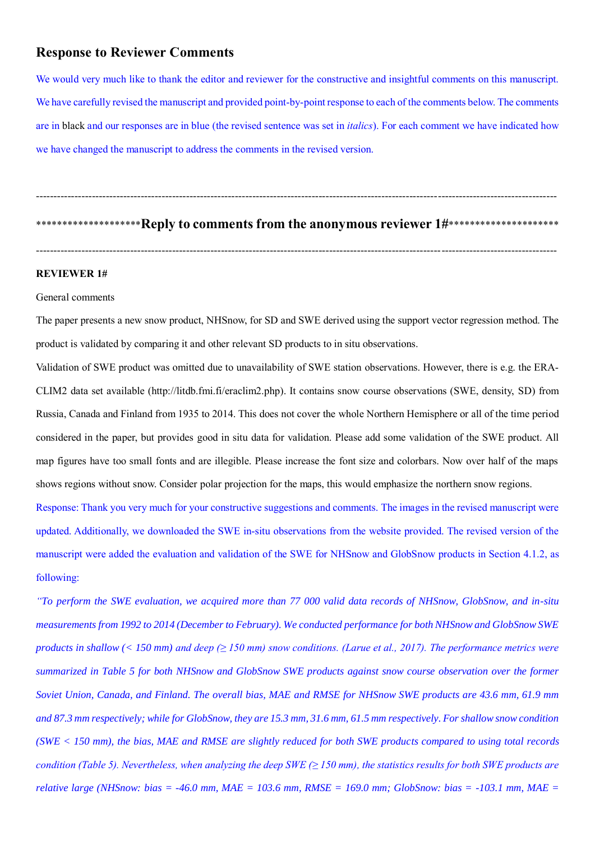# **Response to Reviewer Comments**

We would very much like to thank the editor and reviewer for the constructive and insightful comments on this manuscript. We have carefully revised the manuscript and provided point-by-point response to each of the comments below. The comments are in black and our responses are in blue (the revised sentence was set in *italics*). For each comment we have indicated how we have changed the manuscript to address the comments in the revised version.

\*\*\*\*\*\*\*\*\*\*\*\*\*\*\*\*\*\*\*\*\*\***Reply to comments from the anonymous reviewer 1#\*\*\*\*\*\*\*\*\*\*\*\*\*\*\*\*\*\*\*\*\*\*** 

-----------------------------------------------------------------------------------------------------------------------------------------------------

-----------------------------------------------------------------------------------------------------------------------------------------------------

#### **REVIEWER 1#**

### General comments

The paper presents a new snow product, NHSnow, for SD and SWE derived using the support vector regression method. The product is validated by comparing it and other relevant SD products to in situ observations.

Validation of SWE product was omitted due to unavailability of SWE station observations. However, there is e.g. the ERA-CLIM2 data set available (http://litdb.fmi.fi/eraclim2.php). It contains snow course observations (SWE, density, SD) from Russia, Canada and Finland from 1935 to 2014. This does not cover the whole Northern Hemisphere or all of the time period considered in the paper, but provides good in situ data for validation. Please add some validation of the SWE product. All map figures have too small fonts and are illegible. Please increase the font size and colorbars. Now over half of the maps shows regions without snow. Consider polar projection for the maps, this would emphasize the northern snow regions.

Response: Thank you very much for your constructive suggestions and comments. The images in the revised manuscript were updated. Additionally, we downloaded the SWE in-situ observations from the website provided. The revised version of the manuscript were added the evaluation and validation of the SWE for NHSnow and GlobSnow products in Section 4.1.2, as following:

*"To perform the SWE evaluation, we acquired more than 77 000 valid data records of NHSnow, GlobSnow, and in-situ measurements from 1992 to 2014 (December to February). We conducted performance for both NHSnow and GlobSnow SWE products in shallow (< 150 mm) and deep (≥ 150 mm) snow conditions. (Larue et al., 2017). The performance metrics were summarized in Table 5 for both NHSnow and GlobSnow SWE products against snow course observation over the former Soviet Union, Canada, and Finland. The overall bias, MAE and RMSE for NHSnow SWE products are 43.6 mm, 61.9 mm and 87.3 mm respectively; while for GlobSnow, they are 15.3 mm, 31.6 mm, 61.5 mm respectively. For shallow snow condition (SWE < 150 mm), the bias, MAE and RMSE are slightly reduced for both SWE products compared to using total records condition (Table 5). Nevertheless, when analyzing the deep SWE (≥ 150 mm), the statistics results for both SWE products are relative large (NHSnow: bias = -46.0 mm, MAE = 103.6 mm, RMSE = 169.0 mm; GlobSnow: bias = -103.1 mm, MAE =*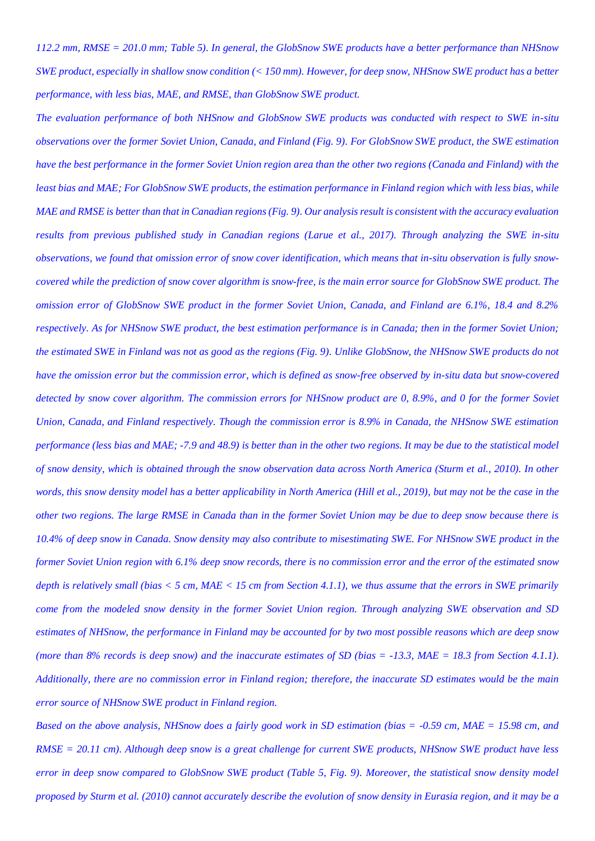*112.2 mm, RMSE = 201.0 mm; Table 5). In general, the GlobSnow SWE products have a better performance than NHSnow SWE product, especially in shallow snow condition (< 150 mm). However, for deep snow, NHSnow SWE product has a better performance, with less bias, MAE, and RMSE, than GlobSnow SWE product.* 

*The evaluation performance of both NHSnow and GlobSnow SWE products was conducted with respect to SWE in-situ observations over the former Soviet Union, Canada, and Finland (Fig. 9). For GlobSnow SWE product, the SWE estimation have the best performance in the former Soviet Union region area than the other two regions (Canada and Finland) with the least bias and MAE; For GlobSnow SWE products, the estimation performance in Finland region which with less bias, while MAE and RMSE is better than that in Canadian regions (Fig. 9). Our analysis result is consistent with the accuracy evaluation results from previous published study in Canadian regions (Larue et al., 2017). Through analyzing the SWE in-situ observations, we found that omission error of snow cover identification, which means that in-situ observation is fully snowcovered while the prediction of snow cover algorithm is snow-free, is the main error source for GlobSnow SWE product. The omission error of GlobSnow SWE product in the former Soviet Union, Canada, and Finland are 6.1%, 18.4 and 8.2% respectively. As for NHSnow SWE product, the best estimation performance is in Canada; then in the former Soviet Union; the estimated SWE in Finland was not as good as the regions (Fig. 9). Unlike GlobSnow, the NHSnow SWE products do not have the omission error but the commission error, which is defined as snow-free observed by in-situ data but snow-covered detected by snow cover algorithm. The commission errors for NHSnow product are 0, 8.9%, and 0 for the former Soviet Union, Canada, and Finland respectively. Though the commission error is 8.9% in Canada, the NHSnow SWE estimation performance (less bias and MAE; -7.9 and 48.9) is better than in the other two regions. It may be due to the statistical model of snow density, which is obtained through the snow observation data across North America (Sturm et al., 2010). In other words, this snow density model has a better applicability in North America (Hill et al., 2019), but may not be the case in the other two regions. The large RMSE in Canada than in the former Soviet Union may be due to deep snow because there is 10.4% of deep snow in Canada. Snow density may also contribute to misestimating SWE. For NHSnow SWE product in the former Soviet Union region with 6.1% deep snow records, there is no commission error and the error of the estimated snow depth is relatively small (bias < 5 cm, MAE < 15 cm from Section 4.1.1), we thus assume that the errors in SWE primarily come from the modeled snow density in the former Soviet Union region. Through analyzing SWE observation and SD estimates of NHSnow, the performance in Finland may be accounted for by two most possible reasons which are deep snow (more than 8% records is deep snow) and the inaccurate estimates of SD (bias = -13.3, MAE = 18.3 from Section 4.1.1). Additionally, there are no commission error in Finland region; therefore, the inaccurate SD estimates would be the main error source of NHSnow SWE product in Finland region.*

*Based on the above analysis, NHSnow does a fairly good work in SD estimation (bias = -0.59 cm, MAE = 15.98 cm, and RMSE = 20.11 cm). Although deep snow is a great challenge for current SWE products, NHSnow SWE product have less error in deep snow compared to GlobSnow SWE product (Table 5, Fig. 9). Moreover, the statistical snow density model proposed by Sturm et al. (2010) cannot accurately describe the evolution of snow density in Eurasia region, and it may be a*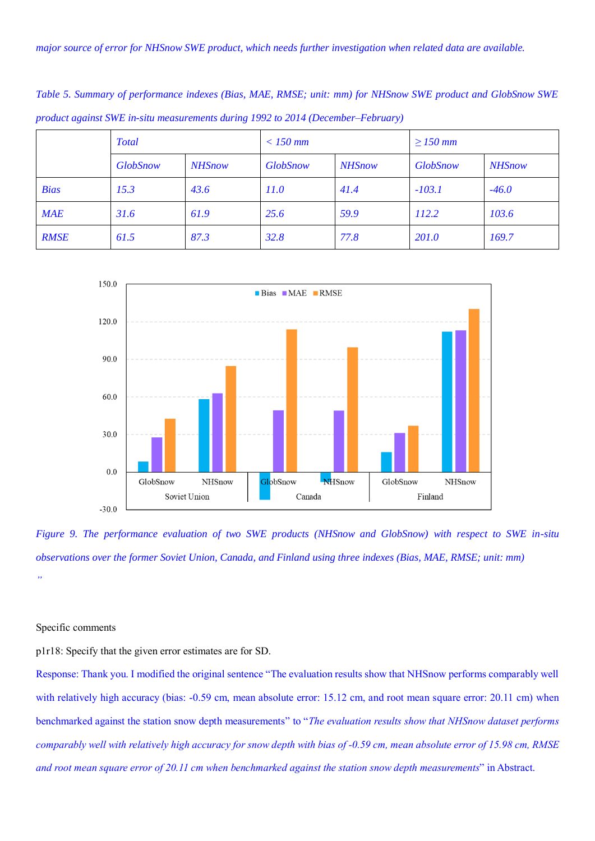|             | <b>Total</b>    |               | $<$ 150 mm      |               | $\geq$ 150 mm   |               |
|-------------|-----------------|---------------|-----------------|---------------|-----------------|---------------|
|             | <b>GlobSnow</b> | <b>NHSnow</b> | <b>GlobSnow</b> | <b>NHSnow</b> | <b>GlobSnow</b> | <b>NHSnow</b> |
| <b>Bias</b> | 15.3            | 43.6          | 11.0            | 41.4          | $-103.1$        | $-46.0$       |
| MAE         | 31.6            | 61.9          | 25.6            | 59.9          | 112.2           | 103.6         |
| <b>RMSE</b> | 61.5            | 87.3          | 32.8            | 77.8          | 201.0           | 169.7         |

*Table 5. Summary of performance indexes (Bias, MAE, RMSE; unit: mm) for NHSnow SWE product and GlobSnow SWE product against SWE in-situ measurements during 1992 to 2014 (December–February)*



*Figure 9. The performance evaluation of two SWE products (NHSnow and GlobSnow) with respect to SWE in-situ observations over the former Soviet Union, Canada, and Finland using three indexes (Bias, MAE, RMSE; unit: mm) "*

## Specific comments

p1r18: Specify that the given error estimates are for SD.

Response: Thank you. I modified the original sentence "The evaluation results show that NHSnow performs comparably well with relatively high accuracy (bias: -0.59 cm, mean absolute error: 15.12 cm, and root mean square error: 20.11 cm) when benchmarked against the station snow depth measurements" to "*The evaluation results show that NHSnow dataset performs comparably well with relatively high accuracy for snow depth with bias of -0.59 cm, mean absolute error of 15.98 cm, RMSE and root mean square error of 20.11 cm when benchmarked against the station snow depth measurements*" in Abstract.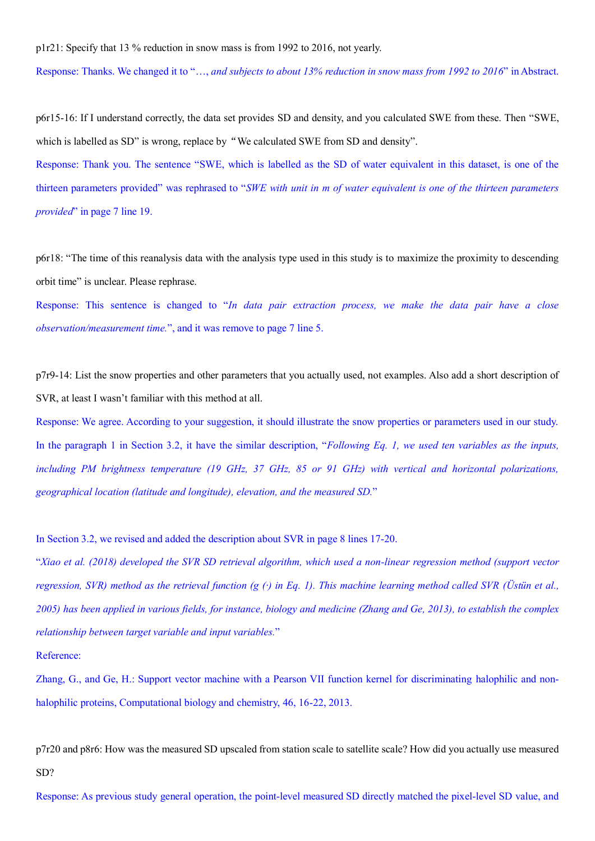p1r21: Specify that 13 % reduction in snow mass is from 1992 to 2016, not yearly.

Response: Thanks. We changed it to "…, *and subjects to about 13% reduction in snow mass from 1992 to 2016*" in Abstract.

p6r15-16: If I understand correctly, the data set provides SD and density, and you calculated SWE from these. Then "SWE, which is labelled as SD" is wrong, replace by "We calculated SWE from SD and density".

Response: Thank you. The sentence "SWE, which is labelled as the SD of water equivalent in this dataset, is one of the thirteen parameters provided" was rephrased to "*SWE with unit in m of water equivalent is one of the thirteen parameters provided*" in page 7 line 19.

p6r18: "The time of this reanalysis data with the analysis type used in this study is to maximize the proximity to descending orbit time" is unclear. Please rephrase.

Response: This sentence is changed to "*In data pair extraction process, we make the data pair have a close observation/measurement time.*", and it was remove to page 7 line 5.

p7r9-14: List the snow properties and other parameters that you actually used, not examples. Also add a short description of SVR, at least I wasn't familiar with this method at all.

Response: We agree. According to your suggestion, it should illustrate the snow properties or parameters used in our study. In the paragraph 1 in Section 3.2, it have the similar description, "*Following Eq. 1, we used ten variables as the inputs, including PM brightness temperature (19 GHz, 37 GHz, 85 or 91 GHz) with vertical and horizontal polarizations, geographical location (latitude and longitude), elevation, and the measured SD.*"

In Section 3.2, we revised and added the description about SVR in page 8 lines 17-20.

"*Xiao et al. (2018) developed the SVR SD retrieval algorithm, which used a non-linear regression method (support vector regression, SVR) method as the retrieval function (g (·) in Eq. 1). This machine learning method called SVR (Üstün et al., 2005) has been applied in various fields, for instance, biology and medicine (Zhang and Ge, 2013), to establish the complex relationship between target variable and input variables.*"

Reference:

Zhang, G., and Ge, H.: Support vector machine with a Pearson VII function kernel for discriminating halophilic and nonhalophilic proteins, Computational biology and chemistry, 46, 16-22, 2013.

p7r20 and p8r6: How was the measured SD upscaled from station scale to satellite scale? How did you actually use measured SD?

Response: As previous study general operation, the point-level measured SD directly matched the pixel-level SD value, and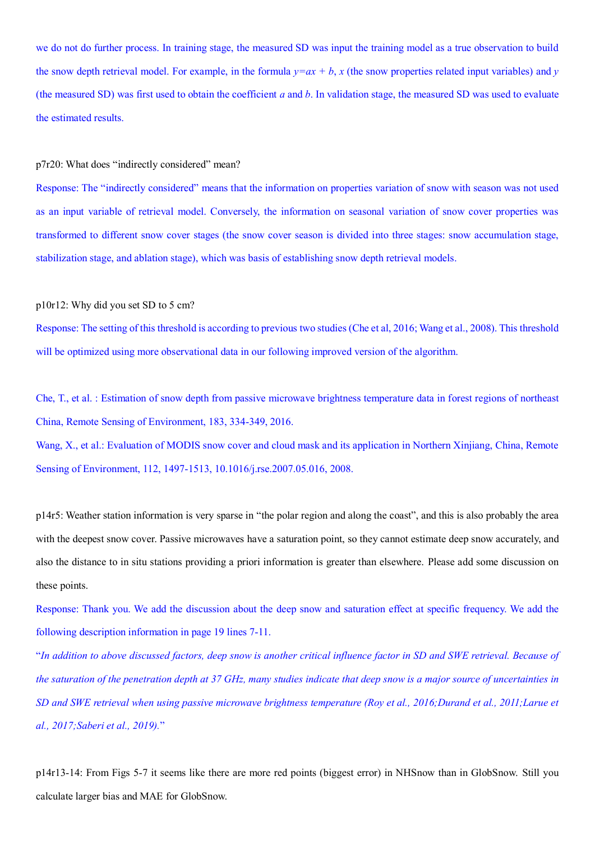we do not do further process. In training stage, the measured SD was input the training model as a true observation to build the snow depth retrieval model. For example, in the formula  $y=ax + b$ ,  $x$  (the snow properties related input variables) and  $y$ (the measured SD) was first used to obtain the coefficient *a* and *b*. In validation stage, the measured SD was used to evaluate the estimated results.

#### p7r20: What does "indirectly considered" mean?

Response: The "indirectly considered" means that the information on properties variation of snow with season was not used as an input variable of retrieval model. Conversely, the information on seasonal variation of snow cover properties was transformed to different snow cover stages (the snow cover season is divided into three stages: snow accumulation stage, stabilization stage, and ablation stage), which was basis of establishing snow depth retrieval models.

## p10r12: Why did you set SD to 5 cm?

Response: The setting of this threshold is according to previous two studies (Che et al, 2016; Wang et al., 2008). This threshold will be optimized using more observational data in our following improved version of the algorithm.

Che, T., et al. : Estimation of snow depth from passive microwave brightness temperature data in forest regions of northeast China, Remote Sensing of Environment, 183, 334-349, 2016.

Wang, X., et al.: Evaluation of MODIS snow cover and cloud mask and its application in Northern Xinjiang, China, Remote Sensing of Environment, 112, 1497-1513, 10.1016/j.rse.2007.05.016, 2008.

p14r5: Weather station information is very sparse in "the polar region and along the coast", and this is also probably the area with the deepest snow cover. Passive microwaves have a saturation point, so they cannot estimate deep snow accurately, and also the distance to in situ stations providing a priori information is greater than elsewhere. Please add some discussion on these points.

Response: Thank you. We add the discussion about the deep snow and saturation effect at specific frequency. We add the following description information in page 19 lines 7-11.

"*In addition to above discussed factors, deep snow is another critical influence factor in SD and SWE retrieval. Because of the saturation of the penetration depth at 37 GHz, many studies indicate that deep snow is a major source of uncertainties in SD and SWE retrieval when using passive microwave brightness temperature (Roy et al., 2016;Durand et al., 2011;Larue et al., 2017;Saberi et al., 2019).*"

p14r13-14: From Figs 5-7 it seems like there are more red points (biggest error) in NHSnow than in GlobSnow. Still you calculate larger bias and MAE for GlobSnow.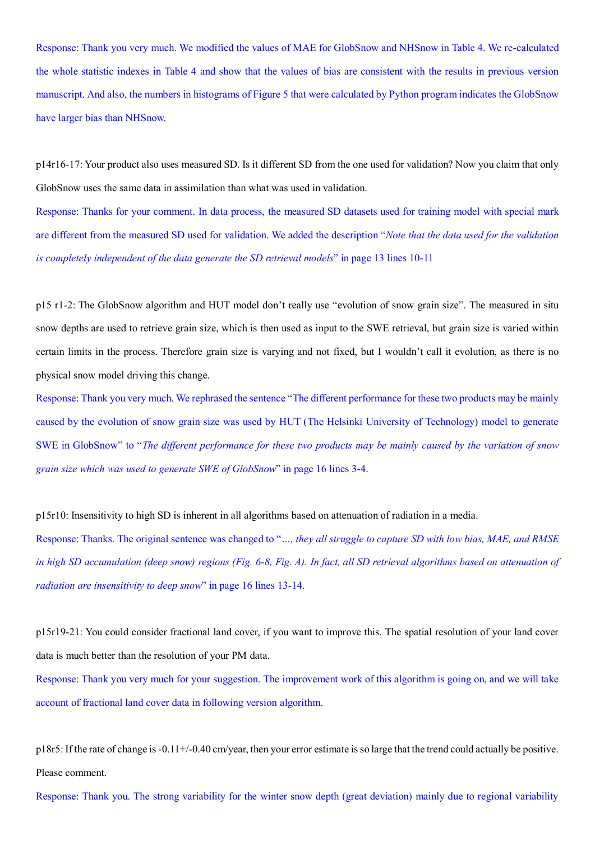Response: Thank you very much. We modified the values of MAE for GlobSnow and NHSnow in Table 4. We re-calculated the whole statistic indexes in Table 4 and show that the values of bias are consistent with the results in previous version manuscript. And also, the numbers in histograms of Figure 5 that were calculated by Python program indicates the GlobSnow have larger bias than NHSnow.

p14r16-17: Your product also uses measured SD. Is it different SD from the one used for validation? Now you claim that only GlobSnow uses the same data in assimilation than what was used in validation.

Response: Thanks for your comment. In data process, the measured SD datasets used for training model with special mark are different from the measured SD used for validation. We added the description "*Note that the data used for the validation is completely independent of the data generate the SD retrieval models*" in page 13 lines 10-11

p15 r1-2: The GlobSnow algorithm and HUT model don't really use "evolution of snow grain size". The measured in situ snow depths are used to retrieve grain size, which is then used as input to the SWE retrieval, but grain size is varied within certain limits in the process. Therefore grain size is varying and not fixed, but I wouldn't call it evolution, as there is no physical snow model driving this change.

Response: Thank you very much. We rephrased the sentence "The different performance for these two products may be mainly caused by the evolution of snow grain size was used by HUT (The Helsinki University of Technology) model to generate SWE in GlobSnow" to "*The different performance for these two products may be mainly caused by the variation of snow grain size which was used to generate SWE of GlobSnow*" in page 16 lines 3-4.

p15r10: Insensitivity to high SD is inherent in all algorithms based on attenuation of radiation in a media.

Response: Thanks. The original sentence was changed to "*…, they all struggle to capture SD with low bias, MAE, and RMSE in high SD accumulation (deep snow) regions (Fig. 6-8, Fig. A). In fact, all SD retrieval algorithms based on attenuation of radiation are insensitivity to deep snow*" in page 16 lines 13-14.

p15r19-21: You could consider fractional land cover, if you want to improve this. The spatial resolution of your land cover data is much better than the resolution of your PM data.

Response: Thank you very much for your suggestion. The improvement work of this algorithm is going on, and we will take account of fractional land cover data in following version algorithm.

p18r5: If the rate of change is -0.11+/-0.40 cm/year, then your error estimate is so large that the trend could actually be positive. Please comment.

Response: Thank you. The strong variability for the winter snow depth (great deviation) mainly due to regional variability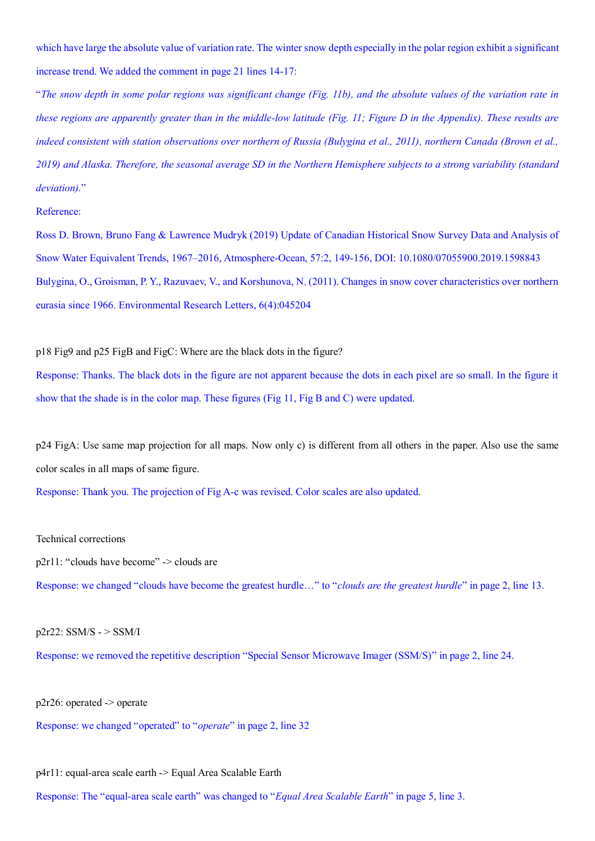which have large the absolute value of variation rate. The winter snow depth especially in the polar region exhibit a significant increase trend. We added the comment in page 21 lines 14-17:

"*The snow depth in some polar regions was significant change (Fig. 11b), and the absolute values of the variation rate in these regions are apparently greater than in the middle-low latitude (Fig. 11; Figure D in the Appendix). These results are indeed consistent with station observations over northern of Russia (Bulygina et al., 2011), northern Canada (Brown et al., 2019) and Alaska. Therefore, the seasonal average SD in the Northern Hemisphere subjects to a strong variability (standard deviation).*"

## Reference:

Ross D. Brown, Bruno Fang & Lawrence Mudryk (2019) Update of Canadian Historical Snow Survey Data and Analysis of Snow Water Equivalent Trends, 1967–2016, Atmosphere-Ocean, 57:2, 149-156, DOI: 10.1080/07055900.2019.1598843 Bulygina, O., Groisman, P. Y., Razuvaev, V., and Korshunova, N. (2011). Changes in snow cover characteristics over northern eurasia since 1966. Environmental Research Letters, 6(4):045204

## p18 Fig9 and p25 FigB and FigC: Where are the black dots in the figure?

Response: Thanks. The black dots in the figure are not apparent because the dots in each pixel are so small. In the figure it show that the shade is in the color map. These figures (Fig 11, Fig B and C) were updated.

p24 FigA: Use same map projection for all maps. Now only c) is different from all others in the paper. Also use the same color scales in all maps of same figure.

Response: Thank you. The projection of Fig A-c was revised. Color scales are also updated.

Technical corrections

p2r11: "clouds have become" -> clouds are

Response: we changed "clouds have become the greatest hurdle…" to "*clouds are the greatest hurdle*" in page 2, line 13.

## $p2r22:$  SSM/S -  $>$  SSM/I

Response: we removed the repetitive description "Special Sensor Microwave Imager (SSM/S)" in page 2, line 24.

p2r26: operated -> operate

Response: we changed "operated" to "*operate*" in page 2, line 32

p4r11: equal-area scale earth -> Equal Area Scalable Earth

Response: The "equal-area scale earth" was changed to "*Equal Area Scalable Earth*" in page 5, line 3.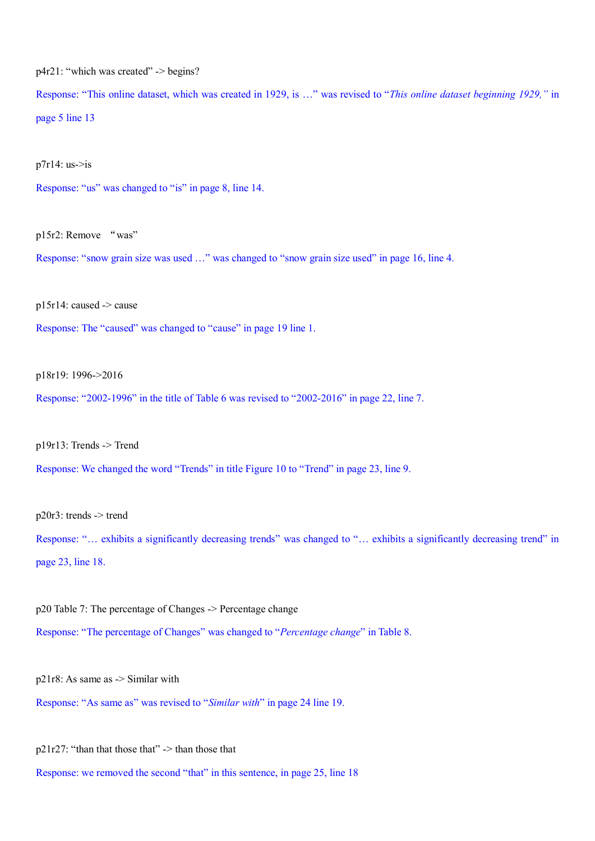p4r21: "which was created" -> begins?

Response: "This online dataset, which was created in 1929, is …" was revised to "*This online dataset beginning 1929,"* in page 5 line 13

 $p7r14:$  us- $>$ is

Response: "us" was changed to "is" in page 8, line 14.

p15r2: Remove "was"

Response: "snow grain size was used …" was changed to "snow grain size used" in page 16, line 4.

p15r14: caused -> cause

Response: The "caused" was changed to "cause" in page 19 line 1.

p18r19: 1996->2016

Response: "2002-1996" in the title of Table 6 was revised to "2002-2016" in page 22, line 7.

p19r13: Trends -> Trend

Response: We changed the word "Trends" in title Figure 10 to "Trend" in page 23, line 9.

p20r3: trends -> trend

Response: "… exhibits a significantly decreasing trends" was changed to "… exhibits a significantly decreasing trend" in page 23, line 18.

p20 Table 7: The percentage of Changes -> Percentage change Response: "The percentage of Changes" was changed to "*Percentage change*" in Table 8.

p21r8: As same as -> Similar with

Response: "As same as" was revised to "*Similar with*" in page 24 line 19.

 $p21r27$ : "than that those that" -> than those that

Response: we removed the second "that" in this sentence, in page 25, line 18